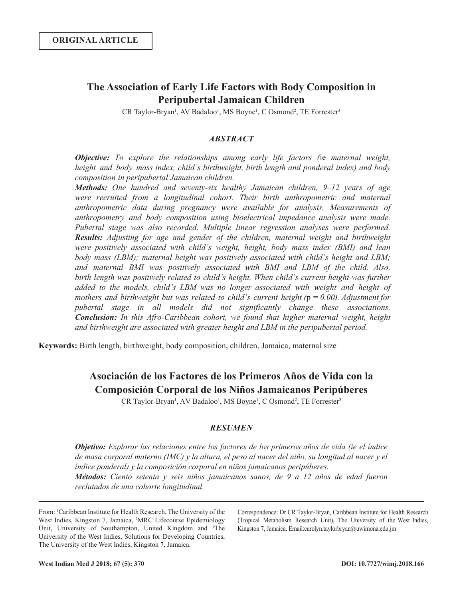## **The Association of Early Life Factors with Body Composition in Peripubertal Jamaican Children**

CR Taylor-Bryan<sup>1</sup>, AV Badaloo<sup>1</sup>, MS Boyne<sup>1</sup>, C Osmond<sup>2</sup>, TE Forrester<sup>3</sup>

### *ABSTRACT*

*Objective: To explore the relationships among early life factors (*ie *maternal weight, height and body mass index, child's birthweight, birth length and ponderal index) and body composition in peripubertal Jamaican children.*

*Methods: One hundred and seventy-six healthy Jamaican children, 9‒12 years of age were recruited from a longitudinal cohort. Their birth anthropometric and maternal anthropometric data during pregnancy were available for analysis. Measurements of anthropometry and body composition using bioelectrical impedance analysis were made. Pubertal stage was also recorded. Multiple linear regression analyses were performed. Results: Adjusting for age and gender of the children, maternal weight and birthweight were positively associated with child's weight, height, body mass index (BMI) and lean body mass (LBM); maternal height was positively associated with child's height and LBM; and maternal BMI was positively associated with BMI and LBM of the child. Also, birth length was positively related to child's height. When child's current height was further added to the models, child's LBM was no longer associated with weight and height of mothers and birthweight but was related to child's current height (* $p = 0.00$ *). Adjustment for pubertal stage in all models did not significantly change these associations. Conclusion: In this Afro-Caribbean cohort, we found that higher maternal weight, height and birthweight are associated with greater height and LBM in the peripubertal period.* 

**Keywords:** Birth length, birthweight, body composition, children, Jamaica, maternal size

# **Asociación de los Factores de los Primeros Años de Vida con la Composición Corporal de los Niños Jamaicanos Peripúberes**

CR Taylor-Bryan<sup>1</sup>, AV Badaloo<sup>1</sup>, MS Boyne<sup>1</sup>, C Osmond<sup>2</sup>, TE Forrester<sup>3</sup>

#### *RESUMEN*

*Objetivo: Explorar las relaciones entre los factores de los primeros años de vida (ie el índice de masa corporal materno (IMC) y la altura, el peso al nacer del niño, su longitud al nacer y el índice ponderal) y la composición corporal en niños jamaicanos peripúberes. Métodos: Ciento setenta y seis niños jamaicanos sanos, de 9 a 12 años de edad fueron reclutados de una cohorte longitudinal.*

From: 1 Caribbean Institute for Health Research, The University of the West Indies, Kingston 7, Jamaica, 2 MRC Lifecourse Epidemiology Unit, University of Southampton, United Kingdom and <sup>3</sup>The University of the West Indies, Solutions for Developing Countries, The University of the West Indies, Kingston 7, Jamaica.

Correspondence: Dr CR Taylor-Bryan, Caribbean Institute for Health Research (Tropical Metabolism Research Unit), The University of the West Indies, Kingston 7, Jamaica. Email:carolyn.taylorbryan@uwimona.edu.jm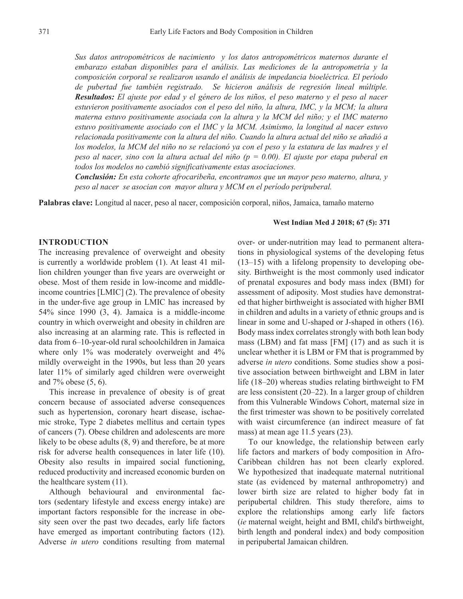*Sus datos antropométricos de nacimiento y los datos antropométricos maternos durante el embarazo estaban disponibles para el análisis. Las mediciones de la antropometría y la composición corporal se realizaron usando el análisis de impedancia bioeléctrica. El período de pubertad fue también registrado. Se hicieron análisis de regresión lineal múltiple. Resultados: El ajuste por edad y el género de los niños, el peso materno y el peso al nacer estuvieron positivamente asociados con el peso del niño, la altura, IMC, y la MCM; la altura materna estuvo positivamente asociada con la altura y la MCM del niño; y el IMC materno estuvo positivamente asociado con el IMC y la MCM. Asimismo, la longitud al nacer estuvo relacionada positivamente con la altura del niño. Cuando la altura actual del niño se añadió a los modelos, la MCM del niño no se relacionó ya con el peso y la estatura de las madres y el peso al nacer, sino con la altura actual del niño (p = 0.00). El ajuste por etapa puberal en todos los modelos no cambió significativamente estas asociaciones.*

*Conclusión: En esta cohorte afrocaribeña, encontramos que un mayor peso materno, altura, y peso al nacer se asocian con mayor altura y MCM en el período peripuberal.*

**Palabras clave:** Longitud al nacer, peso al nacer, composición corporal, niños, Jamaica, tamaño materno

## **INTRODUCTION**

The increasing prevalence of overweight and obesity is currently a worldwide problem (1). At least 41 million children younger than five years are overweight or obese. Most of them reside in low-income and middleincome countries [LMIC] (2). The prevalence of obesity in the under-five age group in LMIC has increased by 54% since 1990 (3, 4). Jamaica is a middle-income country in which overweight and obesity in children are also increasing at an alarming rate. This is reflected in data from 6-10-year-old rural schoolchildren in Jamaica where only 1% was moderately overweight and 4% mildly overweight in the 1990s, but less than 20 years later 11% of similarly aged children were overweight and 7% obese (5, 6).

This increase in prevalence of obesity is of great concern because of associated adverse consequences such as hypertension, coronary heart disease, ischaemic stroke, Type 2 diabetes mellitus and certain types of cancers (7). Obese children and adolescents are more likely to be obese adults (8, 9) and therefore, be at more risk for adverse health consequences in later life (10). Obesity also results in impaired social functioning, reduced productivity and increased economic burden on the healthcare system (11).

Although behavioural and environmental factors (sedentary lifestyle and excess energy intake) are important factors responsible for the increase in obesity seen over the past two decades, early life factors have emerged as important contributing factors (12). Adverse *in utero* conditions resulting from maternal

#### **West Indian Med J 2018; 67 (5): 371**

over- or under-nutrition may lead to permanent alterations in physiological systems of the developing fetus  $(13-15)$  with a lifelong propensity to developing obesity. Birthweight is the most commonly used indicator of prenatal exposures and body mass index (BMI) for assessment of adiposity. Most studies have demonstrated that higher birthweight is associated with higher BMI in children and adults in a variety of ethnic groups and is linear in some and U-shaped or J-shaped in others (16). Body mass index correlates strongly with both lean body mass (LBM) and fat mass [FM] (17) and as such it is unclear whether it is LBM or FM that is programmed by adverse *in utero* conditions. Some studies show a positive association between birthweight and LBM in later life (18–20) whereas studies relating birthweight to FM are less consistent (20‒22). In a larger group of children from this Vulnerable Windows Cohort, maternal size in the first trimester was shown to be positively correlated with waist circumference (an indirect measure of fat mass) at mean age 11.5 years (23).

To our knowledge, the relationship between early life factors and markers of body composition in Afro-Caribbean children has not been clearly explored. We hypothesized that inadequate maternal nutritional state (as evidenced by maternal anthropometry) and lower birth size are related to higher body fat in peripubertal children. This study therefore, aims to explore the relationships among early life factors (*ie* maternal weight, height and BMI, child's birthweight, birth length and ponderal index) and body composition in peripubertal Jamaican children.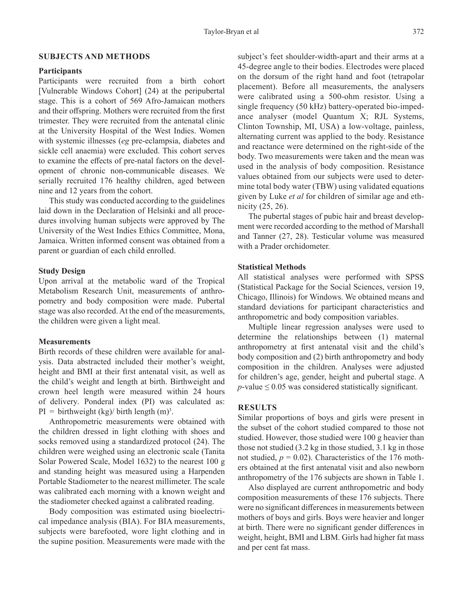#### **SUBJECTS AND METHODS**

#### **Participants**

Participants were recruited from a birth cohort [Vulnerable Windows Cohort] (24) at the peripubertal stage. This is a cohort of 569 Afro-Jamaican mothers and their offspring. Mothers were recruited from the first trimester. They were recruited from the antenatal clinic at the University Hospital of the West Indies. Women with systemic illnesses (*eg* pre-eclampsia, diabetes and sickle cell anaemia) were excluded. This cohort serves to examine the effects of pre-natal factors on the development of chronic non-communicable diseases. We serially recruited 176 healthy children, aged between nine and 12 years from the cohort.

This study was conducted according to the guidelines laid down in the Declaration of Helsinki and all procedures involving human subjects were approved by The University of the West Indies Ethics Committee, Mona, Jamaica. Written informed consent was obtained from a parent or guardian of each child enrolled.

#### **Study Design**

Upon arrival at the metabolic ward of the Tropical Metabolism Research Unit, measurements of anthropometry and body composition were made. Pubertal stage was also recorded. At the end of the measurements, the children were given a light meal.

#### **Measurements**

Birth records of these children were available for analysis. Data abstracted included their mother's weight, height and BMI at their first antenatal visit, as well as the child's weight and length at birth. Birthweight and crown heel length were measured within 24 hours of delivery. Ponderal index (PI) was calculated as:  $PI =$  birthweight (kg)/ birth length (m)<sup>3</sup>.

Anthropometric measurements were obtained with the children dressed in light clothing with shoes and socks removed using a standardized protocol (24). The children were weighed using an electronic scale (Tanita Solar Powered Scale, Model 1632) to the nearest 100 g and standing height was measured using a Harpenden Portable Stadiometer to the nearest millimeter. The scale was calibrated each morning with a known weight and the stadiometer checked against a calibrated reading.

Body composition was estimated using bioelectrical impedance analysis (BIA). For BIA measurements, subjects were barefooted, wore light clothing and in the supine position. Measurements were made with the

subject's feet shoulder-width-apart and their arms at a 45-degree angle to their bodies. Electrodes were placed on the dorsum of the right hand and foot (tetrapolar placement). Before all measurements, the analysers were calibrated using a 500-ohm resistor. Using a single frequency (50 kHz) battery-operated bio-impedance analyser (model Quantum X; RJL Systems, Clinton Township, MI, USA) a low-voltage, painless, alternating current was applied to the body. Resistance and reactance were determined on the right-side of the body. Two measurements were taken and the mean was used in the analysis of body composition. Resistance values obtained from our subjects were used to determine total body water (TBW) using validated equations given by Luke *et al* for children of similar age and ethnicity (25, 26).

The pubertal stages of pubic hair and breast development were recorded according to the method of Marshall and Tanner (27, 28). Testicular volume was measured with a Prader orchidometer.

## **Statistical Methods**

All statistical analyses were performed with SPSS (Statistical Package for the Social Sciences, version 19, Chicago, Illinois) for Windows. We obtained means and standard deviations for participant characteristics and anthropometric and body composition variables.

Multiple linear regression analyses were used to determine the relationships between (1) maternal anthropometry at first antenatal visit and the child's body composition and (2) birth anthropometry and body composition in the children. Analyses were adjusted for children's age, gender, height and pubertal stage. A  $p$ -value  $\leq 0.05$  was considered statistically significant.

#### **RESULTS**

Similar proportions of boys and girls were present in the subset of the cohort studied compared to those not studied. However, those studied were 100 g heavier than those not studied (3.2 kg in those studied, 3.1 kg in those not studied,  $p = 0.02$ ). Characteristics of the 176 mothers obtained at the first antenatal visit and also newborn anthropometry of the 176 subjects are shown in Table 1.

Also displayed are current anthropometric and body composition measurements of these 176 subjects. There were no significant differences in measurements between mothers of boys and girls. Boys were heavier and longer at birth. There were no significant gender differences in weight, height, BMI and LBM. Girls had higher fat mass and per cent fat mass.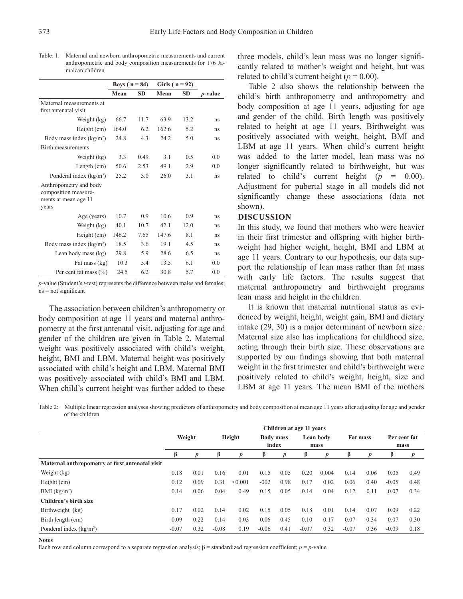|                                                                                 | Boys ( $n = 84$ ) |           | Girls $(n = 92)$ |           |                 |
|---------------------------------------------------------------------------------|-------------------|-----------|------------------|-----------|-----------------|
|                                                                                 | Mean              | <b>SD</b> | Mean             | <b>SD</b> | <i>p</i> -value |
| Maternal measurements at<br>first antenatal visit                               |                   |           |                  |           |                 |
| Weight (kg)                                                                     | 66.7              | 11.7      | 63.9             | 13.2      | ns              |
| Height (cm)                                                                     | 164.0             | 6.2       | 162.6            | 5.2       | ns              |
| Body mass index $(kg/m2)$                                                       | 24.8              | 4.3       | 24.2             | 5.0       | ns              |
| <b>Birth measurements</b>                                                       |                   |           |                  |           |                 |
| Weight (kg)                                                                     | 3.3               | 0.49      | 3.1              | 0.5       | 0.0             |
| Length $(cm)$                                                                   | 50.6              | 2.53      | 49.1             | 2.9       | 0.0             |
| Ponderal index $(kg/m3)$                                                        | 25.2              | 3.0       | 26.0             | 3.1       | ns              |
| Anthropometry and body<br>composition measure-<br>ments at mean age 11<br>years |                   |           |                  |           |                 |
| Age (years)                                                                     | 10.7              | 0.9       | 10.6             | 0.9       | ns              |
| Weight (kg)                                                                     | 40.1              | 10.7      | 42.1             | 12.0      | ns              |
| Height (cm)                                                                     | 146.2             | 7.65      | 147.6            | 8.1       | ns              |
| Body mass index (kg/m <sup>2</sup> )                                            | 18.5              | 3.6       | 19.1             | 4.5       | ns              |
| Lean body mass (kg)                                                             | 29.8              | 5.9       | 28.6             | 6.5       | ns              |
| Fat mass (kg)                                                                   | 10.3              | 5.4       | 13.5             | 6.1       | 0.0             |
| Per cent fat mass $(\% )$                                                       | 24.5              | 6.2       | 30.8             | 5.7       | 0.0             |

Table: 1. Maternal and newborn anthropometric measurements and current anthropometric and body composition measurements for 176 Jamaican children

*p*-value (Student's *t*-test) represents the difference between males and females; ns = not significant

The association between children's anthropometry or body composition at age 11 years and maternal anthropometry at the first antenatal visit, adjusting for age and gender of the children are given in Table 2. Maternal weight was positively associated with child's weight, height, BMI and LBM. Maternal height was positively associated with child's height and LBM. Maternal BMI was positively associated with child's BMI and LBM. When child's current height was further added to these three models, child's lean mass was no longer significantly related to mother's weight and height, but was related to child's current height ( $p = 0.00$ ).

Table 2 also shows the relationship between the child's birth anthropometry and anthropometry and body composition at age 11 years, adjusting for age and gender of the child. Birth length was positively related to height at age 11 years. Birthweight was positively associated with weight, height, BMI and LBM at age 11 years. When child's current height was added to the latter model, lean mass was no longer significantly related to birthweight, but was related to child's current height  $(p = 0.00)$ . Adjustment for pubertal stage in all models did not significantly change these associations (data not shown).

#### **DISCUSSION**

In this study, we found that mothers who were heavier in their first trimester and offspring with higher birthweight had higher weight, height, BMI and LBM at age 11 years. Contrary to our hypothesis, our data support the relationship of lean mass rather than fat mass with early life factors. The results suggest that maternal anthropometry and birthweight programs lean mass and height in the children.

It is known that maternal nutritional status as evidenced by weight, height, weight gain, BMI and dietary intake (29, 30) is a major determinant of newborn size. Maternal size also has implications for childhood size, acting through their birth size. These observations are supported by our findings showing that both maternal weight in the first trimester and child's birthweight were positively related to child's weight, height, size and LBM at age 11 years. The mean BMI of the mothers

Table 2: Multiple linear regression analyses showing predictors of anthropometry and body composition at mean age 11 years after adjusting for age and gender of the children

|                                                 | Children at age 11 years |                  |         |         |                  |       |           |       |                 |                  |              |                  |
|-------------------------------------------------|--------------------------|------------------|---------|---------|------------------|-------|-----------|-------|-----------------|------------------|--------------|------------------|
|                                                 | Weight                   |                  | Height  |         | <b>Body mass</b> |       | Lean body |       | <b>Fat mass</b> |                  | Per cent fat |                  |
|                                                 |                          |                  |         |         |                  | index |           | mass  |                 |                  | mass         |                  |
|                                                 | β                        | $\boldsymbol{p}$ | β       | D       | ß                | p     | ß         | p     |                 | $\boldsymbol{p}$ | β            | $\boldsymbol{p}$ |
| Maternal anthropometry at first antenatal visit |                          |                  |         |         |                  |       |           |       |                 |                  |              |                  |
| Weight (kg)                                     | 0.18                     | 0.01             | 0.16    | 0.01    | 0.15             | 0.05  | 0.20      | 0.004 | 0.14            | 0.06             | 0.05         | 0.49             |
| Height (cm)                                     | 0.12                     | 0.09             | 0.31    | < 0.001 | $-002$           | 0.98  | 0.17      | 0.02  | 0.06            | 0.40             | $-0.05$      | 0.48             |
| BMI (kg/m <sup>2</sup> )                        | 0.14                     | 0.06             | 0.04    | 0.49    | 0.15             | 0.05  | 0.14      | 0.04  | 0.12            | 0.11             | 0.07         | 0.34             |
| Children's birth size                           |                          |                  |         |         |                  |       |           |       |                 |                  |              |                  |
| Birthweight (kg)                                | 0.17                     | 0.02             | 0.14    | 0.02    | 0.15             | 0.05  | 0.18      | 0.01  | 0.14            | 0.07             | 0.09         | 0.22             |
| Birth length (cm)                               | 0.09                     | 0.22             | 0.14    | 0.03    | 0.06             | 0.45  | 0.10      | 0.17  | 0.07            | 0.34             | 0.07         | 0.30             |
| Ponderal index $(kg/m3)$                        | $-0.07$                  | 0.32             | $-0.08$ | 0.19    | $-0.06$          | 0.41  | $-0.07$   | 0.32  | $-0.07$         | 0.36             | $-0.09$      | 0.18             |

**Notes**

Each row and column correspond to a separate regression analysis;  $\beta$  = standardized regression coefficient;  $p = p$ -value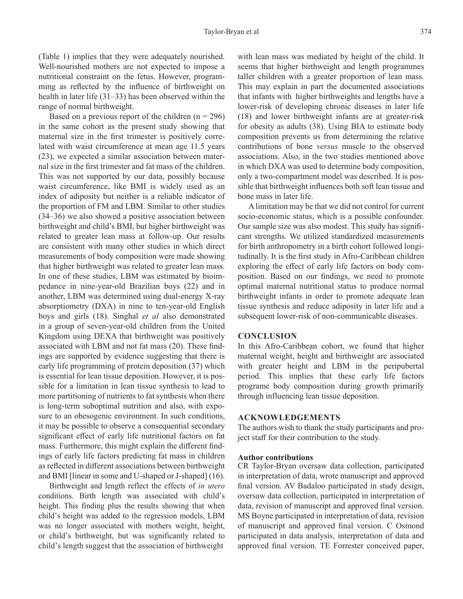(Table 1) implies that they were adequately nourished. Well-nourished mothers are not expected to impose a nutritional constraint on the fetus. However, programming as reflected by the influence of birthweight on health in later life (31–33) has been observed within the range of normal birthweight.

Based on a previous report of the children  $(n = 296)$ in the same cohort as the present study showing that maternal size in the first trimester is positively correlated with waist circumference at mean age 11.5 years (23), we expected a similar association between maternal size in the first trimester and fat mass of the children. This was not supported by our data, possibly because waist circumference, like BMI is widely used as an index of adiposity but neither is a reliable indicator of the proportion of FM and LBM. Similar to other studies (34‒36) we also showed a positive association between birthweight and child's BMI, but higher birthweight was related to greater lean mass at follow-up. Our results are consistent with many other studies in which direct measurements of body composition were made showing that higher birthweight was related to greater lean mass. In one of these studies, LBM was estimated by bioimpedance in nine-year-old Brazilian boys (22) and in another, LBM was determined using dual-energy X-ray absorptiometry (DXA) in nine to ten-year-old English boys and girls (18). Singhal *et al* also demonstrated in a group of seven-year-old children from the United Kingdom using DEXA that birthweight was positively associated with LBM and not fat mass (20). These findings are supported by evidence suggesting that there is early life programming of protein deposition (37) which is essential for lean tissue deposition. However, it is possible for a limitation in lean tissue synthesis to lead to more partitioning of nutrients to fat synthesis when there is long-term suboptimal nutrition and also, with exposure to an obesogenic environment. In such conditions, it may be possible to observe a consequential secondary significant effect of early life nutritional factors on fat mass. Furthermore, this might explain the different findings of early life factors predicting fat mass in children as reflected in different associations between birthweight and BMI [linear in some and U-shaped or J-shaped] (16).

Birthweight and length reflect the effects of *in utero* conditions. Birth length was associated with child's height. This finding plus the results showing that when child's height was added to the regression models, LBM was no longer associated with mothers weight, height, or child's birthweight, but was significantly related to child's length suggest that the association of birthweight

with lean mass was mediated by height of the child. It seems that higher birthweight and length programmes taller children with a greater proportion of lean mass. This may explain in part the documented associations that infants with higher birthweights and lengths have a lower-risk of developing chronic diseases in later life (18) and lower birthweight infants are at greater-risk for obesity as adults (38). Using BIA to estimate body composition prevents us from determining the relative contributions of bone *versus* muscle to the observed associations. Also, in the two studies mentioned above in which DXA was used to determine body composition, only a two-compartment model was described. It is possible that birthweight influences both soft lean tissue and bone mass in later life.

A limitation may be that we did not control for current socio-economic status, which is a possible confounder. Our sample size was also modest. This study has significant strengths. We utilized standardized measurements for birth anthropometry in a birth cohort followed longitudinally. It is the first study in Afro-Caribbean children exploring the effect of early life factors on body composition. Based on our findings, we need to promote optimal maternal nutritional status to produce normal birthweight infants in order to promote adequate lean tissue synthesis and reduce adiposity in later life and a subsequent lower-risk of non-communicable diseases.

#### **CONCLUSION**

In this Afro-Caribbean cohort, we found that higher maternal weight, height and birthweight are associated with greater height and LBM in the peripubertal period. This implies that these early life factors programe body composition during growth primarily through influencing lean tissue deposition.

#### **ACKNOWLEDGEMENTS**

The authors wish to thank the study participants and project staff for their contribution to the study.

#### **Author contributions**

CR Taylor-Bryan oversaw data collection, participated in interpretation of data, wrote manuscript and approved final version. AV Badaloo participated in study design, oversaw data collection, participated in interpretation of data, revision of manuscript and approved final version. MS Boyne participated in interpretation of data, revision of manuscript and approved final version. C Osmond participated in data analysis, interpretation of data and approved final version. TE Forrester conceived paper,